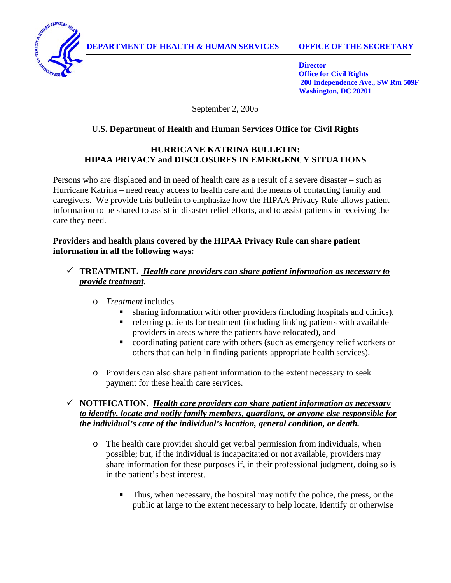

*Director*  **Office for Civil Rights 200 Independence Ave., SW Rm 509F Washington, DC 20201** 

September 2, 2005

### **U.S. Department of Health and Human Services Office for Civil Rights**

#### **HURRICANE KATRINA BULLETIN: HIPAA PRIVACY and DISCLOSURES IN EMERGENCY SITUATIONS**

Persons who are displaced and in need of health care as a result of a severe disaster – such as Hurricane Katrina – need ready access to health care and the means of contacting family and caregivers. We provide this bulletin to emphasize how the HIPAA Privacy Rule allows patient information to be shared to assist in disaster relief efforts, and to assist patients in receiving the care they need.

#### **Providers and health plans covered by the HIPAA Privacy Rule can share patient information in all the following ways:**

# 9 **TREATMENT.** *Health care providers can share patient information as necessary to provide treatment*.

- o *Treatment* includes
	- sharing information with other providers (including hospitals and clinics),
	- referring patients for treatment (including linking patients with available providers in areas where the patients have relocated), and
	- coordinating patient care with others (such as emergency relief workers or others that can help in finding patients appropriate health services).
- o Providers can also share patient information to the extent necessary to seek payment for these health care services.

# 9 **NOTIFICATION.** *Health care providers can share patient information as necessary to identify, locate and notify family members, guardians, or anyone else responsible for the individual's care of the individual's location, general condition, or death.*

- o The health care provider should get verbal permission from individuals, when possible; but, if the individual is incapacitated or not available, providers may share information for these purposes if, in their professional judgment, doing so is in the patient's best interest.
	- Thus, when necessary, the hospital may notify the police, the press, or the public at large to the extent necessary to help locate, identify or otherwise